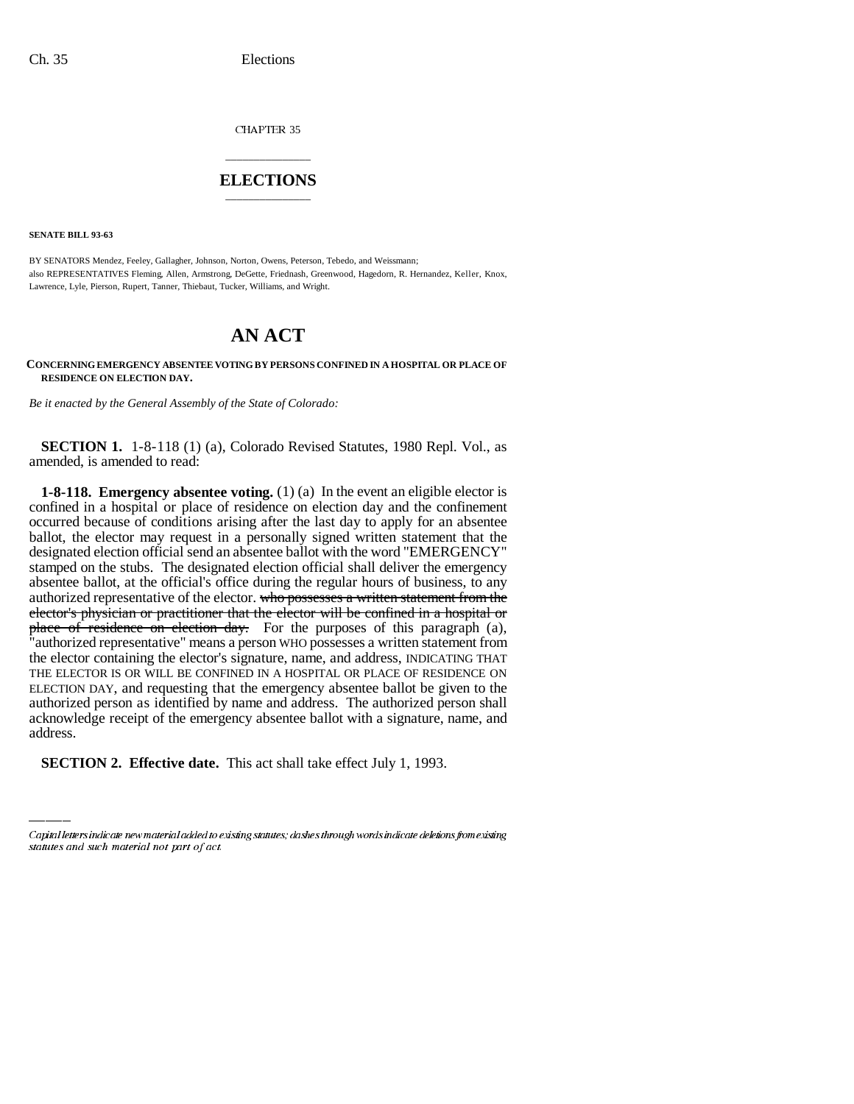CHAPTER 35

## \_\_\_\_\_\_\_\_\_\_\_\_\_\_\_ **ELECTIONS** \_\_\_\_\_\_\_\_\_\_\_\_\_\_\_

**SENATE BILL 93-63**

BY SENATORS Mendez, Feeley, Gallagher, Johnson, Norton, Owens, Peterson, Tebedo, and Weissmann; also REPRESENTATIVES Fleming, Allen, Armstrong, DeGette, Friednash, Greenwood, Hagedorn, R. Hernandez, Keller, Knox, Lawrence, Lyle, Pierson, Rupert, Tanner, Thiebaut, Tucker, Williams, and Wright.

## **AN ACT**

**CONCERNING EMERGENCY ABSENTEE VOTING BY PERSONS CONFINED IN A HOSPITAL OR PLACE OF RESIDENCE ON ELECTION DAY.**

*Be it enacted by the General Assembly of the State of Colorado:*

**SECTION 1.** 1-8-118 (1) (a), Colorado Revised Statutes, 1980 Repl. Vol., as amended, is amended to read:

acknowledge receipt of the emergency absentee ballot with a signature, name, and **1-8-118. Emergency absentee voting.** (1) (a) In the event an eligible elector is confined in a hospital or place of residence on election day and the confinement occurred because of conditions arising after the last day to apply for an absentee ballot, the elector may request in a personally signed written statement that the designated election official send an absentee ballot with the word "EMERGENCY" stamped on the stubs. The designated election official shall deliver the emergency absentee ballot, at the official's office during the regular hours of business, to any authorized representative of the elector. who possesses a written statement from the elector's physician or practitioner that the elector will be confined in a hospital or place of residence on election day. For the purposes of this paragraph (a), "authorized representative" means a person WHO possesses a written statement from the elector containing the elector's signature, name, and address, INDICATING THAT THE ELECTOR IS OR WILL BE CONFINED IN A HOSPITAL OR PLACE OF RESIDENCE ON ELECTION DAY, and requesting that the emergency absentee ballot be given to the authorized person as identified by name and address. The authorized person shall address.

**SECTION 2. Effective date.** This act shall take effect July 1, 1993.

Capital letters indicate new material added to existing statutes; dashes through words indicate deletions from existing statutes and such material not part of act.